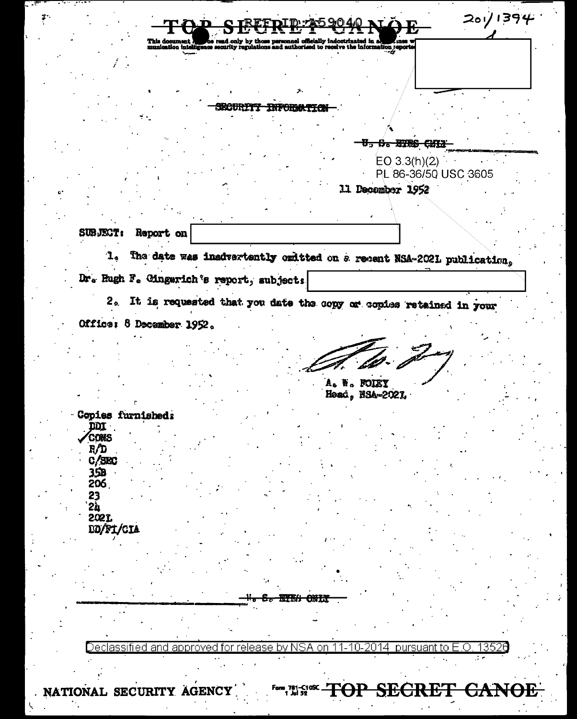$201/1394$  $\mathcal{D}$ ersonnel officially indoctrinated in a<br>nd authorised to receive the information reports SECURITY INFORMATION U, S. BIES CHIE  $EO$  3.3(h)(2) PL 86-36/50 USC 3605 11 December 1952 SUBJECT: Report on The date was insdvertently omitted on a recent NSA-2021 publication,  $\mathbf{L}_2$ Dr. Hugh F. Cingerich's report, subjects 2. It is requested that you date the copy or copies retained in your Office: 8 December 1952. A. W. FOIEY Head, NSA-2021. Copies furnished:  $\overline{\text{DM}}$ **CONS**  $F/D$  $C/SEC$  $35B$ 206 23 2ù 2021 DD/FI/CIA ᠊ᢒᡒ **ETEA CNLT** Declassified and approved for release by NSA on 11-10-2014 pursuant to E.O. 13526

NATIONAL SECURITY AGENCY

Form 781-C10SC T **SECRET** <del>ЮР</del> <del>CANOE</del>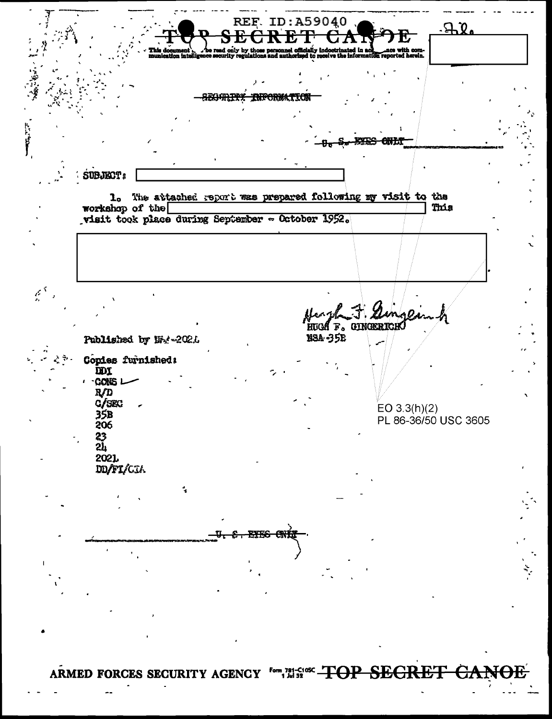**REF. ID: A59040**  $70.$ <del>SEGARTY</del> SUBJECT: 1. The attached report was prepared following my visit to the workshop of the This visit took place during September - October 1952.  $\vec{\xi}^{\lambda}$ HUGA F. GINGERICH **NSA-35E** Published by Nig-2021 Copies furnished: **DDX** CONS<sub>L</sub>  $R/D$  $C/SEC$ EO 3.3(h)(2)<br>PL 86-36/50 USC 3605 35B 206  $\frac{23}{24}$ 2021 DD/FI/CIA ARMED FORCES SECURITY AGENCY form 781-51000 TOP SEGRET <del>CANOE</del>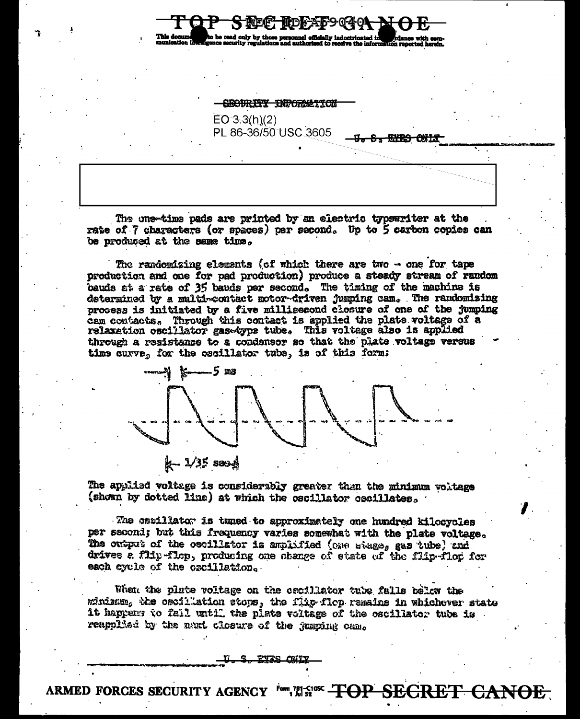SECTIRITY INPORTED

SREE HDFAF9040

nnel officially indostr

<del>S. KYRS MIK</del>

 $EO 3.3(h)(2)$ PL 86-36/50 USC 3605

The one-time pads are printed by an electric typewriter at the rate of 7 characters (or spaces) per second. Up to 5 carbon copies can be produced at the same time.

The randomizing elements (of which there are two  $-$  one for tape production and one for pad production) produce a steady stream of random bauds at a rate of 35 bands per second. The timing of the machine is determined by a multi-contact motor-driven jumping cam. The randomizing process is initiated by a five millisecond closure of one of the jumping cam contacts. Through this contact is applied the plate voltage of a relaxation oscillator gas-type tube. This voltage also is applied through a resistance to a condensor so that the plate voltage versus time curve, for the oscillator tube, is of this form:



The applied voltage is considerably greater than the minimum voltage (shown by dotted line) at which the oscillator oscillates.

The carillator is tuned to approximately one hundred kilocycles per second; but this frequency varies somewhat with the plate voltage. The output of the oscillator is amplified (one minge, gas tube) and drives a flip-flop, producing one change of state of the flip-flop for each eyele of the oscillation.

When the plate voltage on the cacillator tube falls below the minimum, the oscillation stops, the flip flop remains in whichever state it happens to fall until the plate voltage of the oscillator tube is reapplied by the next closure of the jumping came

<u>S. FIZS CAITY</u>

ARMED FORCES SECURITY AGENCY Form, 20136 SECRET CANOE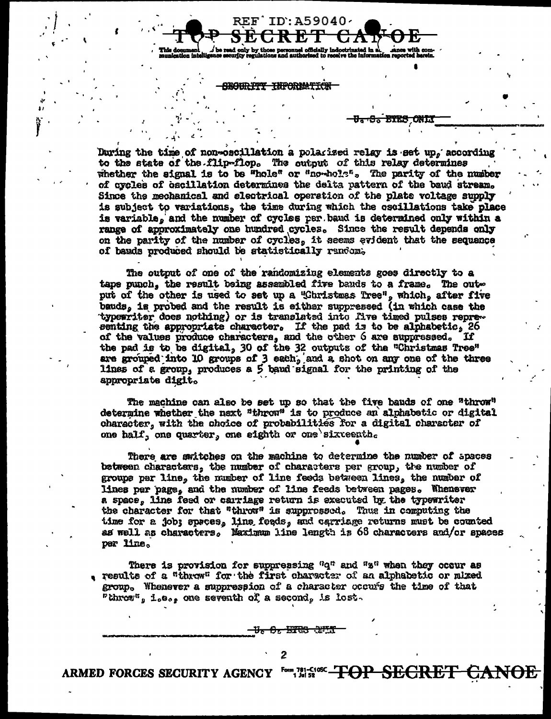**etrinated in al.**<br>--- <sup>abe</sup> informatic officially inde

REF ID: A59040.

**SEGURITY INFORMATION** 

<del>SECRET</del>

## <del>s. Bies onl</del>i

During the time of non-oscillation a polarized relay is set up, according to the state of the flip-flop. The output of this relay determines whether the signal is to be "hole" or "no-hole". The parity of the number of cycles of cacillation determines the delta pattern of the baud stream. Since the mechanical and electrical operation of the plate voltage supply is subject to variations, the time during which the oscillations take place is variable, and the number of cycles per band is determined only within a range of approximately one hundred cycles. Since the result depends only on the parity of the number of cycles, it seems evident that the sequence of bauda produced should be statistically random.

The output of one of the randomizing elements goes directly to a tape punch, the result being assembled five bands to a frame. The output of the other is used to set up a "Christmas Tree", which, after five bauds, is probed and the result is either suppressed (in which case the typewriter does nothing) or is translated into five timed pulses representing the appropriate character. If the pad is to be alphabetic, 26 of the values produce characters, and the other 6 are suppressed. If the pad is to be digital, 30 of the 32 outputs of the "Christmas Tree" are grouped into 10 groups of 3 each, and a shot on any one of the three lines of a group, produces a 5 band signal for the printing of the appropriate digit.

The machine can also be set up so that the five bauds of one "throw" determine whether the next "throw" is to produce an alphabetic or digital character, with the choice of probabilities for a digital character of one half, one quarter, one sighth or one sixteenth.

There are switches on the machine to determine the number of spaces between charactars, the number of characters per group, the number of groups per line, the number of line feeds between lines, the number of lines per page, and the number of line feeds between pages. Whenever a space, line feed or carriage return is executed by the typewriter the character for that "throw" is suppressed. Thus in computing the time for a job; sprees, line feeds, and carriage returns must be counted as well as characters, Maximum line length is 68 characters and/or spaces per line.

There is provision for suppressing "q" and "s" when they occur as results of a "throw" for the first character of an alphabetic or mixed group. Whenever a suppression of a character occurs the time of that "throw", i.e., one seventh of a second, is lost.

<del>V. O. WIS JUIT</del>

ARMED FORCES SECURITY AGENCY Form 781-51052 TOP SECRET <del>CANOE</del>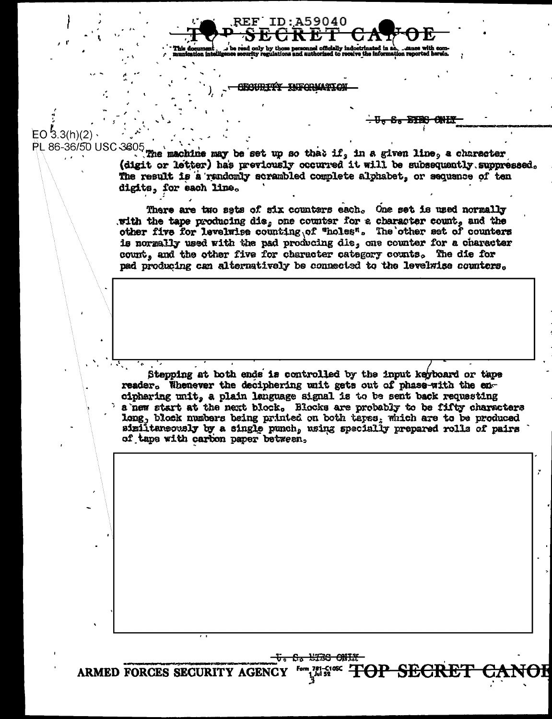<del>ECURITY INFORMATO</del>

**REF ID:A59040** 

<del>S. BIBS</del>

EO  $3.3(h)(2)$ PL 86-36/50 USC 3605

The machine may be set up so that if, in a given line, a character (digit or letter) has previously occurred it will be subsequently suppressed. The result is a randomly scrambled complete alphabet, or sequence of ten digita, for each line.

There are two sets of six counters each. One set is used normally with the tape producing die, one counter for a character count, and the other five for levelwise counting of "holes". The other set of counters is normally used with the pad producing die, one counter for a character count, and the other five for character category counts. The die for pad producing can alternatively be connected to the levelwise counters.

Stepping at both ends is controlled by the input keyboard or taps reader. Whenever the deciphering wait gets out of phase-with the enciphering unit, a plain language signal is to be sent back requesting a new start at the next block. Blocks are probably to be fifty characters long, block numbers being printed on both tapes, which are to be produced similtaneously by a single punch, using specially prepared rolls of pairs of tape with carbon paper between,

<del>t. S. WISS ONIX</del>

ARMED FORCES SECURITY AGENCY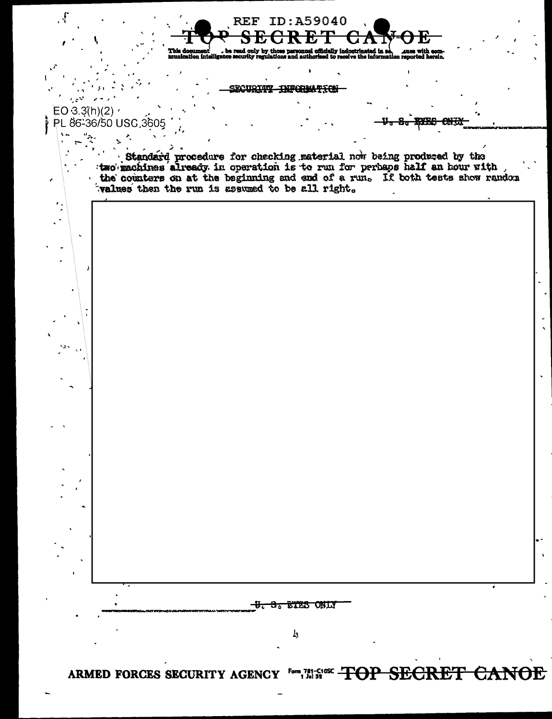

ARMED FORCES SECURITY AGENCY for THE SING TOP SECRET CANOE